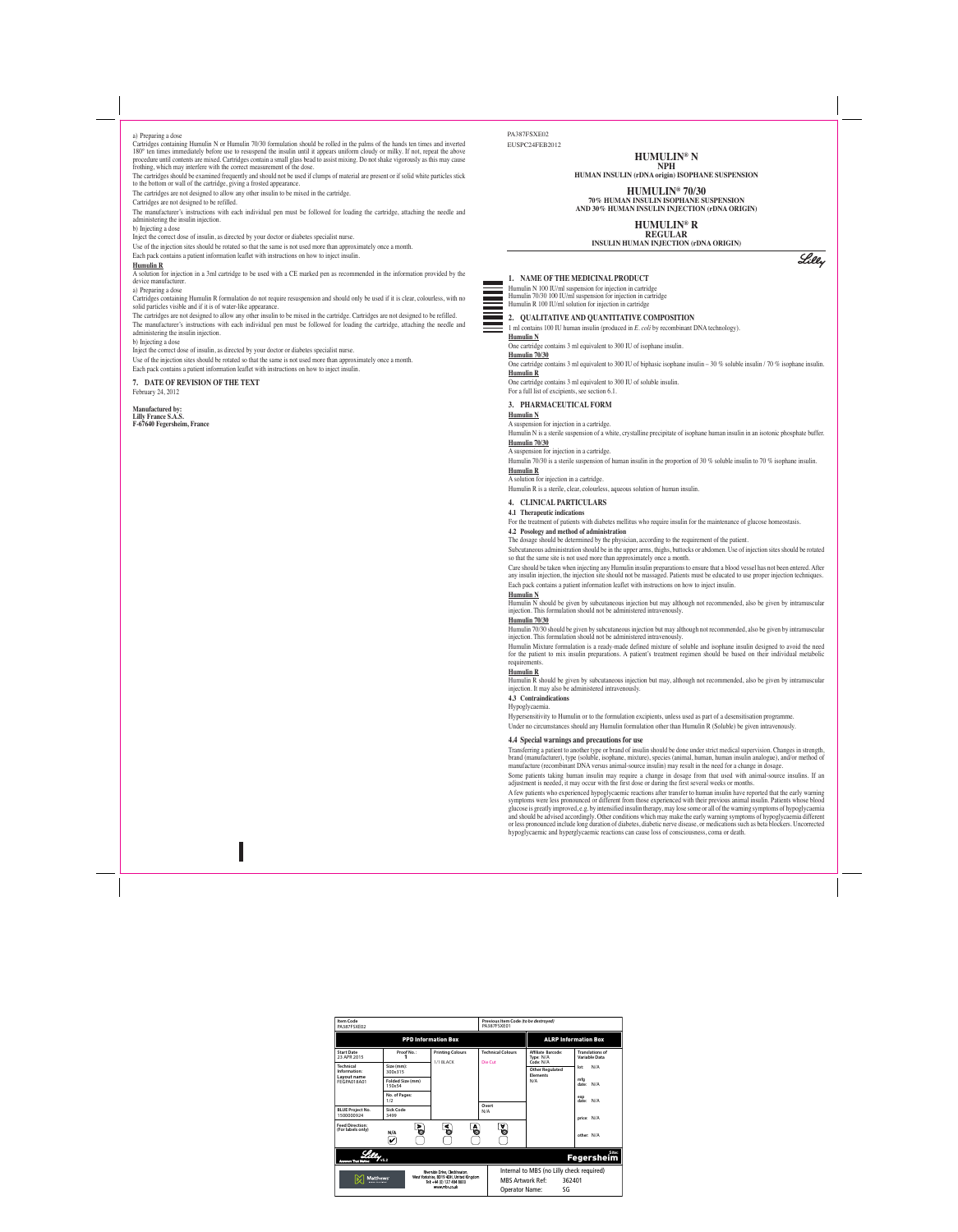## **1. NAME OF THE MEDICINAL PRODUCT**

Humulin N 100 IU/ml suspension for injection in cartridge Humulin 70/30 100 IU/ml suspension for injection in cartridge Humulin R 100 IU/ml solution for injection in cartridge

## **2. QUALITATIVE AND QUANTITATIVE COMPOSITION**

1 ml contains 100 IU human insulin (produced in *E. coli* by recombinant DNA technology). **Humulin N**

# One cartridge contains 3 ml equivalent to 300 IU of isophane insulin.

**Humulin 70/30**

One cartridge contains 3 ml equivalent to 300 IU of biphasic isophane insulin – 30 % soluble insulin / 70 % isophane insulin. **Humulin R**

One cartridge contains 3 ml equivalent to 300 IU of soluble insulin. For a full list of excipients, see section 6.1.

## **3. PHARMACEUTICAL FORM**

For the treatment of patients with diabetes mellitus who require insulin for the maintenance of glucose homeostasis. **4.2 Posology and method of administration**

**Humulin N**

## A suspension for injection in a cartridge.

Humulin N is a sterile suspension of a white, crystalline precipitate of isophane human insulin in an isotonic phosphate buffer. **Humulin 70/30**

# A suspension for injection in a cartridge.

Humulin 70/30 is a sterile suspension of human insulin in the proportion of 30 % soluble insulin to 70 % isophane insulin.

#### **Humulin R** A solution for injection in a cartridge.

Humulin R is a sterile, clear, colourless, aqueous solution of human insulin.

### **4. CLINICAL PARTICULARS**

## **4.1 Therapeutic indications**

Humulin R should be given by subcutaneous injection but may, although not recommended, also be given by intramuscular injection. It may also be administered intravenously.

# The dosage should be determined by the physician, according to the requirement of the patient.

Transferring a patient to another type or brand of insulin should be done under strict medical supervision. Changes in strength, brand (manufacturer), type (soluble, isophane, mixture), species (animal, human, human insulin analogue), a

Subcutaneous administration should be in the upper arms, thighs, buttocks or abdomen. Use of injection sites should be rotated so that the same site is not used more than approximately once a month.

Care should be taken when injecting any Humulin insulin preparations to ensure that a blood vessel has not been entered. After any insulin injection, the injection site should not be massaged. Patients must be educated to use proper injection techniques. Each pack contains a patient information leaflet with instructions on how to inject insulin.

### **Humulin N**

Humulin N should be given by subcutaneous injection but may although not recommended, also be given by intramuscular injection. This formulation should not be administered intravenously.

### **Humulin 70/30**

Humulin 70/30 should be given by subcutaneous injection but may although not recommended, also be given by intramuscular injection. This formulation should not be administered intravenously.

Humulin Mixture formulation is a ready-made defined mixture of soluble and isophane insulin designed to avoid the need for the patient to mix insulin preparations. A patient's treatment regimen should be based on their individual metabolic requirements.

#### **Humulin R**

## **4.3 Contraindications**

Hypoglycaemia.

Cartridges containing Humulin R formulation do not require resuspension and should only be used if it is clear, colourless, with no solid particles visible and if it is of water-like appearance.

> Hypersensitivity to Humulin or to the formulation excipients, unless used as part of a desensitisation programme. Under no circumstances should any Humulin formulation other than Humulin R (Soluble) be given intravenously.

#### **4.4 Special warnings and precautions for use**

manufacture (recombinant DNA versus animal-source insulin) may result in the need for a change in dosage.

Some patients taking human insulin may require a change in dosage from that used with animal-source insulins. If an adjustment is needed, it may occur with the first dose or during the first several weeks or months.

A few patients who experienced hypoglycaemic reactions after transfer to human insulin have reported that the early warning symptoms were less pronounced or different from those experienced with their previous animal insulin. Patients whose blood glucose is greatly improved, e.g. by intensified insulin therapy, may lose some or all of the warning symptoms of hypoglycaemia and should be advised accordingly. Other conditions which may make the early warning symptoms of hypoglycaemia different or less pronounced include long duration of diabetes, diabetic nerve disease, or medications such as beta blockers. Uncorrected hypoglycaemic and hyperglycaemic reactions can cause loss of consciousness, coma or death.

#### a) Preparing a dose

Cartridges containing Humulin N or Humulin 70/30 formulation should be rolled in the palms of the hands ten times and inverted 180° ten times immediately before use to resuspend the insulin until it appears uniform cloudy or milky. If not, repeat the above procedure until contents are mixed. Cartridges contain a small glass bead to assist mixing. Do not shake vigorously as this may cause frothing, which may interfere with the correct measurement of the dose.

The cartridges should be examined frequently and should not be used if clumps of material are present or if solid white particles stick to the bottom or wall of the cartridge, giving a frosted appearance.

The cartridges are not designed to allow any other insulin to be mixed in the cartridge.

Cartridges are not designed to be refilled.

The manufacturer's instructions with each individual pen must be followed for loading the cartridge, attaching the needle and administering the insulin injection.

b) Injecting a dose

Inject the correct dose of insulin, as directed by your doctor or diabetes specialist nurse.

Use of the injection sites should be rotated so that the same is not used more than approximately once a month.

Each pack contains a patient information leaflet with instructions on how to inject insulin.

#### **Humulin R**

A solution for injection in a 3ml cartridge to be used with a CE marked pen as recommended in the information provided by the device manufacturer.

a) Preparing a dose

The cartridges are not designed to allow any other insulin to be mixed in the cartridge. Cartridges are not designed to be refilled. The manufacturer's instructions with each individual pen must be followed for loading the cartridge, attaching the needle and administering the insulin injection.

b) Injecting a dose

Inject the correct dose of insulin, as directed by your doctor or diabetes specialist nurse.

Use of the injection sites should be rotated so that the same is not used more than approximately once a month. Each pack contains a patient information leaflet with instructions on how to inject insulin.

# **7. DATE OF REVISION OF THE TEXT**

February 24, 2012

#### **Manufactured by: Lilly France S.A.S. F-67640 Fegersheim, France**

## PA387FSXE02 EUSPC24FEB2012

# **HUMULIN® N NPH**

**HUMAN INSULIN (rDNA origin) ISOPHANE SUSPENSION**

**HUMULIN® 70/30 70% HUMAN INSULIN ISOPHANE SUSPENSION AND 30% HUMAN INSULIN INJECTION (rDNA ORIGIN)**

> **HUMULIN® R REGULAR**

**INSULIN HUMAN INJECTION (rDNA ORIGIN)**

Lilly

| <b>Item Code</b><br>PA387FSXE02                                                                                                     |                              |                                      | Previous Item Code (to be destroyed)<br>PA387FSXE01 |                                                           |                                                |  |  |  |
|-------------------------------------------------------------------------------------------------------------------------------------|------------------------------|--------------------------------------|-----------------------------------------------------|-----------------------------------------------------------|------------------------------------------------|--|--|--|
| <b>PPD Information Box</b>                                                                                                          |                              |                                      |                                                     | <b>ALRP Information Box</b>                               |                                                |  |  |  |
| <b>Start Date</b><br>23 APR 2015                                                                                                    | Proof No.:                   | <b>Printing Colours</b><br>1/1 BLACK | <b>Technical Colours</b><br>Die Cut                 | <b>Affiliate Barcode:</b><br>Type: N/A<br>Code: N/A       | <b>Translations of</b><br><b>Variable Data</b> |  |  |  |
| <b>Technical</b><br>Information:<br>Lavout name<br>FEGPA018A01                                                                      | Size (mm):<br>300x315        |                                      |                                                     | <b>Other Regulated</b><br><b>Elements</b><br>N/A          | N/A<br>lot:                                    |  |  |  |
|                                                                                                                                     | Folded Size (mm)<br>150x54   |                                      |                                                     |                                                           | mfa<br>N/A<br>date:                            |  |  |  |
|                                                                                                                                     | No. of Pages:<br>1/2         |                                      |                                                     |                                                           | exp<br>N/A<br>date:                            |  |  |  |
| <b>BLUE Project No.</b><br>1500000924                                                                                               | Sick Code<br>3499            |                                      | Overt<br>N/A                                        |                                                           | price: N/A                                     |  |  |  |
| <b>Feed Direction:</b><br>(For labels only)                                                                                         | Þ<br>N/A<br>$\boldsymbol{v}$ | A<br>⋖                               | A                                                   |                                                           | other: N/A                                     |  |  |  |
| Site:<br><b>Fegersheim</b><br>v <sub>5.2</sub><br><b>Answers That Matter</b>                                                        |                              |                                      |                                                     |                                                           |                                                |  |  |  |
|                                                                                                                                     |                              | Riverside Drive, Cleckheaton,        |                                                     | Internal to MBS (no Lilly check required)                 |                                                |  |  |  |
| West Yorkshire, BD19 4DH, United Kingdom<br><b>Matthews</b><br>Tel: +44 (0) 127 484 8000<br><b>EXAND SOLUTIONS</b><br>www.mbs.co.uk |                              |                                      |                                                     | <b>MBS Artwork Ref:</b><br>362401<br>SG<br>Operator Name: |                                                |  |  |  |